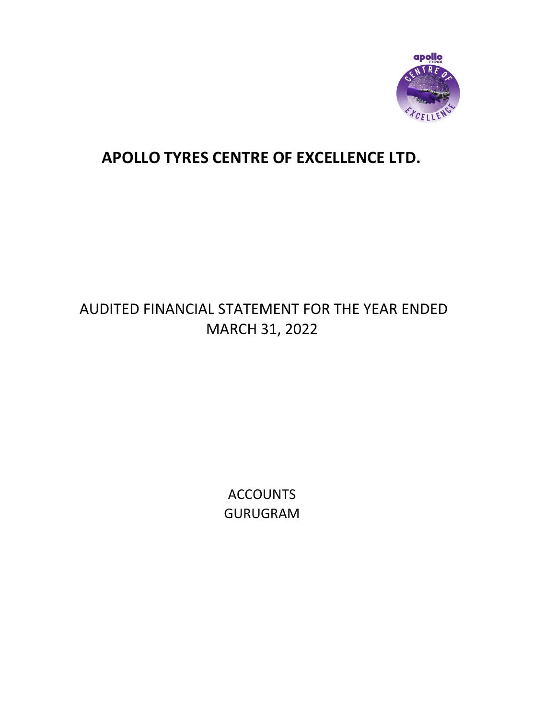

# AUDITED FINANCIAL STATEMENT FOR THE YEAR ENDED MARCH 31, 2022

**ACCOUNTS** GURUGRAM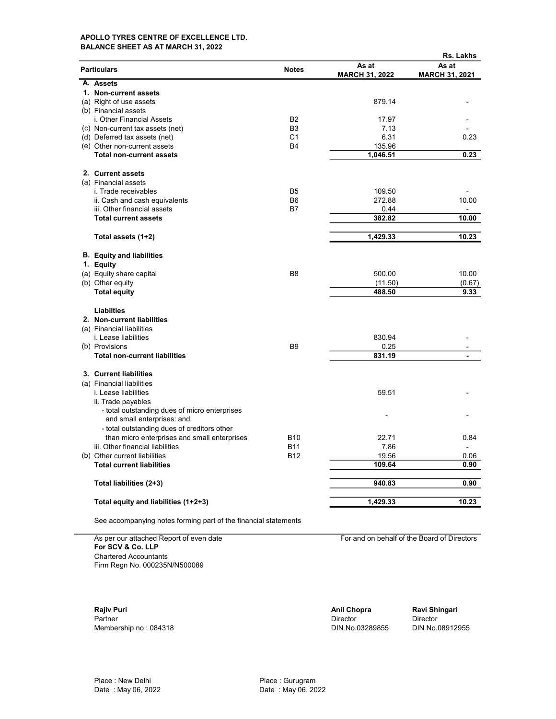### APOLLO TYRES CENTRE OF EXCELLENCE LTD. BALANCE SHEET AS AT MARCH 31, 2022

|                                                                     |                |                                | Rs. Lakhs                      |
|---------------------------------------------------------------------|----------------|--------------------------------|--------------------------------|
| <b>Particulars</b>                                                  | <b>Notes</b>   | As at<br><b>MARCH 31, 2022</b> | As at<br><b>MARCH 31, 2021</b> |
| A. Assets                                                           |                |                                |                                |
| 1. Non-current assets                                               |                |                                |                                |
| (a) Right of use assets                                             |                | 879.14                         |                                |
| (b) Financial assets                                                |                |                                |                                |
| i. Other Financial Assets                                           | <b>B2</b>      | 17.97                          |                                |
| (c) Non-current tax assets (net)                                    | B <sub>3</sub> | 7.13                           |                                |
| (d) Deferred tax assets (net)                                       | C1             | 6.31                           | 0.23                           |
| (e) Other non-current assets                                        | <b>B4</b>      | 135.96                         |                                |
| <b>Total non-current assets</b>                                     |                | 1,046.51                       | 0.23                           |
| 2. Current assets                                                   |                |                                |                                |
| (a) Financial assets                                                |                |                                |                                |
| i. Trade receivables                                                | B <sub>5</sub> | 109.50                         |                                |
| ii. Cash and cash equivalents                                       | B <sub>6</sub> | 272.88                         | 10.00                          |
| iii. Other financial assets                                         | B7             | 0.44                           |                                |
| <b>Total current assets</b>                                         |                | 382.82                         | 10.00                          |
| Total assets (1+2)                                                  |                | 1,429.33                       | 10.23                          |
|                                                                     |                |                                |                                |
| <b>B.</b> Equity and liabilities                                    |                |                                |                                |
| 1. Equity                                                           |                |                                |                                |
| (a) Equity share capital                                            | B <sub>8</sub> | 500.00                         | 10.00                          |
| (b) Other equity                                                    |                | (11.50)                        | (0.67)                         |
| <b>Total equity</b>                                                 |                | 488.50                         | 9.33                           |
| Liabilties                                                          |                |                                |                                |
| 2. Non-current liabilities                                          |                |                                |                                |
| (a) Financial liabilities                                           |                |                                |                                |
| i. Lease liabilities                                                |                | 830.94                         |                                |
| (b) Provisions                                                      | <b>B9</b>      | 0.25                           |                                |
| <b>Total non-current liabilities</b>                                |                | 831.19                         | $\blacksquare$                 |
| 3. Current liabilities                                              |                |                                |                                |
| (a) Financial liabilities                                           |                |                                |                                |
| <i>i.</i> Lease liabilities                                         |                | 59.51                          |                                |
| ii. Trade payables<br>- total outstanding dues of micro enterprises |                |                                |                                |
| and small enterprises: and                                          |                |                                |                                |
| - total outstanding dues of creditors other                         |                |                                |                                |
| than micro enterprises and small enterprises                        | <b>B10</b>     | 22.71                          | 0.84                           |
| iii. Other financial liabilities                                    | <b>B11</b>     | 7.86                           | $\overline{a}$                 |
| (b) Other current liabilities                                       | <b>B12</b>     | 19.56                          | 0.06                           |
| <b>Total current liabilities</b>                                    |                | 109.64                         | 0.90                           |
| Total liabilities (2+3)                                             |                | 940.83                         | 0.90                           |
|                                                                     |                |                                |                                |
| Total equity and liabilities (1+2+3)                                |                | 1,429.33                       | 10.23                          |

See accompanying notes forming part of the financial statements

As per our attached Report of even date For and on behalf of the Board of Directors For SCV & Co. LLP Chartered Accountants Firm Regn No. 000235N/N500089

**Rajiv Puri Anil Chopra Ravi Shingari**<br>Partner **Anil Chopra Ravi Shingari**<br>Director Director Director Partner Director Director Director Director Director Director Director Director Membership no : 084318 DIN No.03289855 DIN No.08912955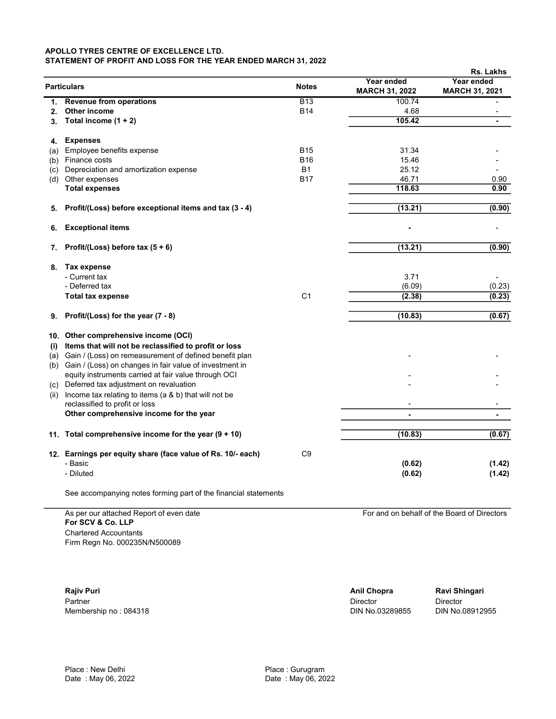### APOLLO TYRES CENTRE OF EXCELLENCE LTD. STATEMENT OF PROFIT AND LOSS FOR THE YEAR ENDED MARCH 31, 2022

|     |                                                             |                |                                     | Rs. Lakhs                           |
|-----|-------------------------------------------------------------|----------------|-------------------------------------|-------------------------------------|
|     | <b>Particulars</b>                                          | <b>Notes</b>   | Year ended<br><b>MARCH 31, 2022</b> | Year ended<br><b>MARCH 31, 2021</b> |
| 1.  | <b>Revenue from operations</b>                              | <b>B13</b>     | 100.74                              |                                     |
| 2.  | Other income                                                | <b>B14</b>     | 4.68                                |                                     |
| 3.  | Total income $(1 + 2)$                                      |                | 105.42                              | ۰                                   |
| 4.  | <b>Expenses</b>                                             |                |                                     |                                     |
| (a) | Employee benefits expense                                   | <b>B15</b>     | 31.34                               |                                     |
|     | (b) Finance costs                                           | <b>B16</b>     | 15.46                               |                                     |
| (c) | Depreciation and amortization expense                       | <b>B1</b>      | 25.12                               |                                     |
|     | (d) Other expenses                                          | <b>B17</b>     | 46.71                               | 0.90                                |
|     | <b>Total expenses</b>                                       |                | 118.63                              | 0.90                                |
| 5.  | Profit/(Loss) before exceptional items and tax (3 - 4)      |                | (13.21)                             | (0.90)                              |
| 6.  | <b>Exceptional items</b>                                    |                |                                     |                                     |
| 7.  | Profit/(Loss) before tax $(5 + 6)$                          |                | (13.21)                             | (0.90)                              |
| 8.  | Tax expense                                                 |                |                                     |                                     |
|     | - Current tax                                               |                | 3.71                                |                                     |
|     | - Deferred tax                                              |                | (6.09)                              | (0.23)                              |
|     | <b>Total tax expense</b>                                    | C <sub>1</sub> | (2.38)                              | (0.23)                              |
| 9.  | Profit/(Loss) for the year (7 - 8)                          |                | (10.83)                             | (0.67)                              |
|     | 10. Other comprehensive income (OCI)                        |                |                                     |                                     |
| (i) | Items that will not be reclassified to profit or loss       |                |                                     |                                     |
|     | (a) Gain / (Loss) on remeasurement of defined benefit plan  |                |                                     |                                     |
|     | (b) Gain / (Loss) on changes in fair value of investment in |                |                                     |                                     |
|     | equity instruments carried at fair value through OCI        |                |                                     |                                     |
|     | (c) Deferred tax adjustment on revaluation                  |                |                                     |                                     |
|     | (ii) Income tax relating to items (a & b) that will not be  |                |                                     |                                     |
|     | reclassified to profit or loss                              |                |                                     |                                     |
|     | Other comprehensive income for the year                     |                | ä,                                  | ä,                                  |
|     | 11. Total comprehensive income for the year $(9 + 10)$      |                | (10.83)                             | (0.67)                              |
|     |                                                             |                |                                     |                                     |
|     | 12. Earnings per equity share (face value of Rs. 10/- each) | C9             |                                     |                                     |
|     | - Basic                                                     |                | (0.62)                              | (1.42)                              |
|     | - Diluted                                                   |                | (0.62)                              | (1.42)                              |
|     |                                                             |                |                                     |                                     |

See accompanying notes forming part of the financial statements

As per our attached Report of even date **For and on behalf of the Board of Directors** For SCV & Co. LLP Chartered Accountants Firm Regn No. 000235N/N500089

Rajiv Puri **Anil Chopra Ravi Shingari** Anil Chopra Ravi Shingari Partner Director Director Director Director Director Director Membership no : 084318 DIN No.03289855 DIN No.08912955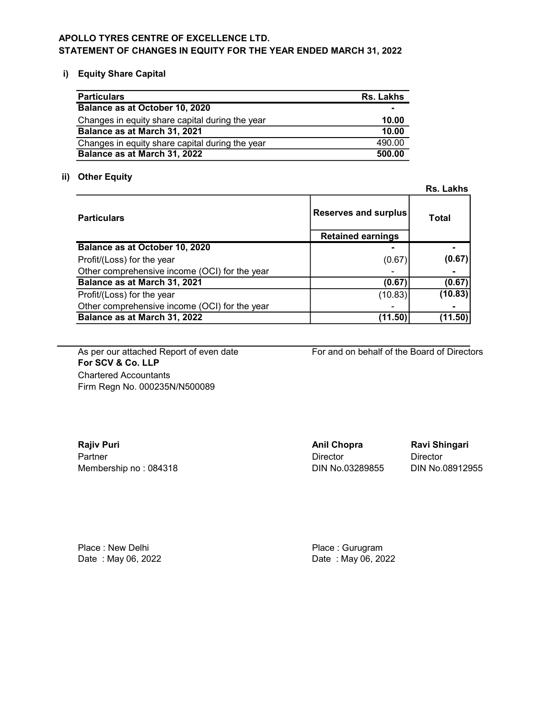# APOLLO TYRES CENTRE OF EXCELLENCE LTD. STATEMENT OF CHANGES IN EQUITY FOR THE YEAR ENDED MARCH 31, 2022

# i) Equity Share Capital

| <b>Particulars</b>                              | Rs. Lakhs      |
|-------------------------------------------------|----------------|
| Balance as at October 10, 2020                  | $\blacksquare$ |
| Changes in equity share capital during the year | 10.00          |
| Balance as at March 31, 2021                    | 10.00          |
| Changes in equity share capital during the year | 490.00         |
| Balance as at March 31, 2022                    | 500.00         |

# ii) Other Equity

|                                               |                          | Rs. Lakhs    |
|-----------------------------------------------|--------------------------|--------------|
| <b>Particulars</b>                            | Reserves and surplus     | <b>Total</b> |
|                                               | <b>Retained earnings</b> |              |
| Balance as at October 10, 2020                |                          |              |
| Profit/(Loss) for the year                    | (0.67)                   | (0.67)       |
| Other comprehensive income (OCI) for the year |                          |              |
| Balance as at March 31, 2021                  | (0.67)                   | (0.67)       |
| Profit/(Loss) for the year                    | (10.83)                  | (10.83)      |
| Other comprehensive income (OCI) for the year |                          |              |
| Balance as at March 31, 2022                  | (11.50)                  | (11.50)      |

For SCV & Co. LLP Chartered Accountants Firm Regn No. 000235N/N500089

As per our attached Report of even date For and on behalf of the Board of Directors

| <b>Rajiv Puri</b>     | <b>Anil Chopra</b> | <b>Ravi Sh</b> |
|-----------------------|--------------------|----------------|
| Partner               | Director           | Director       |
| Membership no: 084318 | DIN No.03289855    | DIN No.        |

Anil Chopra Ravi Shingari

DIN No.03289855 DIN No.08912955

Place : New Delhi **Place** : Gurugram

Date : May 06, 2022 **Date : May 06, 2022**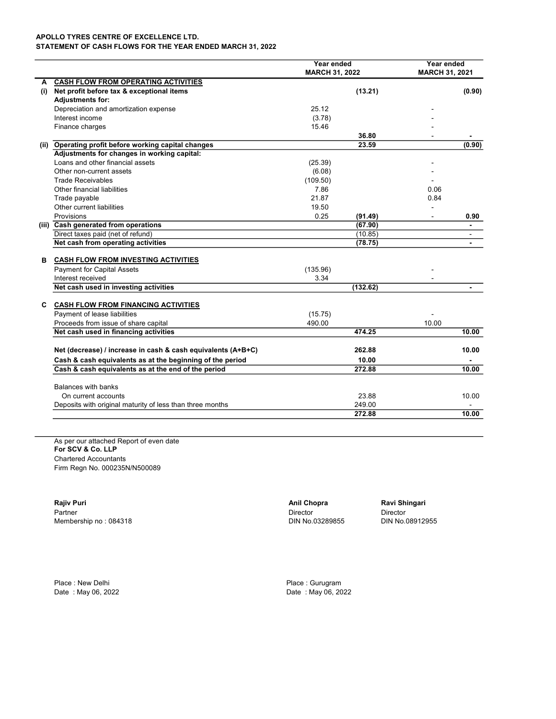STATEMENT OF CASH FLOWS FOR THE YEAR ENDED MARCH 31, 2022

|     |                                                              | Year ended<br><b>MARCH 31, 2022</b> |          | Year ended<br><b>MARCH 31, 2021</b> |        |
|-----|--------------------------------------------------------------|-------------------------------------|----------|-------------------------------------|--------|
| А   | <b>CASH FLOW FROM OPERATING ACTIVITIES</b>                   |                                     |          |                                     |        |
| (i) | Net profit before tax & exceptional items                    |                                     | (13.21)  |                                     | (0.90) |
|     | <b>Adjustments for:</b>                                      |                                     |          |                                     |        |
|     | Depreciation and amortization expense                        | 25.12                               |          |                                     |        |
|     | Interest income                                              | (3.78)                              |          |                                     |        |
|     | Finance charges                                              | 15.46                               |          |                                     |        |
|     |                                                              |                                     | 36.80    |                                     |        |
|     | (ii) Operating profit before working capital changes         |                                     | 23.59    |                                     | (0.90) |
|     | Adjustments for changes in working capital:                  |                                     |          |                                     |        |
|     | Loans and other financial assets                             | (25.39)                             |          |                                     |        |
|     | Other non-current assets                                     | (6.08)                              |          |                                     |        |
|     | <b>Trade Receivables</b>                                     | (109.50)                            |          |                                     |        |
|     | Other financial liabilities                                  | 7.86                                |          | 0.06                                |        |
|     | Trade payable                                                | 21.87                               |          | 0.84                                |        |
|     | Other current liabilities                                    | 19.50                               |          |                                     |        |
|     | Provisions                                                   | 0.25                                | (91.49)  | $\blacksquare$                      | 0.90   |
|     | (iii) Cash generated from operations                         |                                     | (67.90)  |                                     |        |
|     | Direct taxes paid (net of refund)                            |                                     | (10.85)  |                                     |        |
|     | Net cash from operating activities                           |                                     | (78.75)  |                                     |        |
| в   | <b>CASH FLOW FROM INVESTING ACTIVITIES</b>                   |                                     |          |                                     |        |
|     | <b>Payment for Capital Assets</b>                            | (135.96)                            |          |                                     |        |
|     | Interest received                                            | 3.34                                |          |                                     |        |
|     | Net cash used in investing activities                        |                                     | (132.62) |                                     |        |
| C   | <b>CASH FLOW FROM FINANCING ACTIVITIES</b>                   |                                     |          |                                     |        |
|     | Payment of lease liabilities                                 | (15.75)                             |          |                                     |        |
|     | Proceeds from issue of share capital                         | 490.00                              |          | 10.00                               |        |
|     | Net cash used in financing activities                        |                                     | 474.25   |                                     | 10.00  |
|     | Net (decrease) / increase in cash & cash equivalents (A+B+C) |                                     | 262.88   |                                     | 10.00  |
|     | Cash & cash equivalents as at the beginning of the period    |                                     | 10.00    |                                     |        |
|     | Cash & cash equivalents as at the end of the period          |                                     | 272.88   |                                     | 10.00  |
|     | <b>Balances with banks</b>                                   |                                     |          |                                     |        |
|     | On current accounts                                          |                                     | 23.88    |                                     | 10.00  |
|     | Deposits with original maturity of less than three months    |                                     | 249.00   |                                     |        |
|     |                                                              |                                     | 272.88   |                                     | 10.00  |

As per our attached Report of even date For SCV & Co. LLP Chartered Accountants Firm Regn No. 000235N/N500089

Rajiv Puri **Anil Chopra Ravi Shingari** Anil Chopra Ravi Shingari Partner **Director** Director **Director** Director **Director** Director **Director** Membership no : 084318 **DIN No.03289855** DIN No.03289855

Place : New Delhi Place : Gurugram

Date : May 06, 2022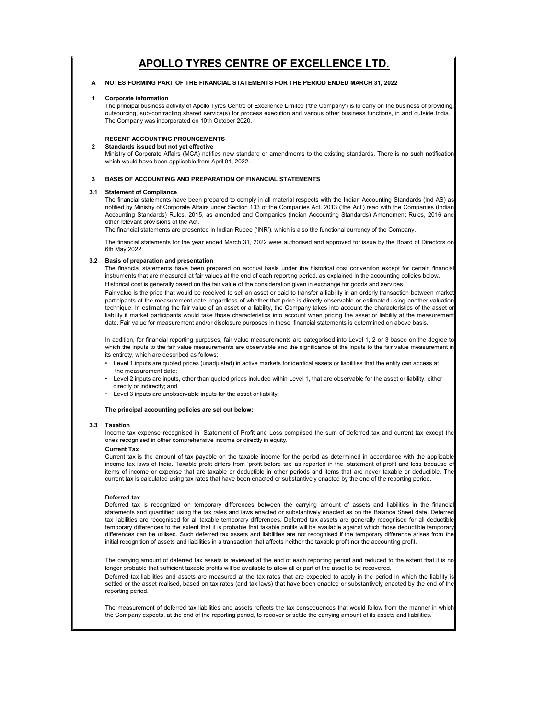### A NOTES FORMING PART OF THE FINANCIAL STATEMENTS FOR THE PERIOD ENDED MARCH 31, 2022

#### 1 Corporate information

2

The principal business activity of Apollo Tyres Centre of Excellence Limited ('the Company') is to carry on the business of providing, outsourcing, sub-contracting shared service(s) for process execution and various other business functions, in and outside India. . The Company was incorporated on 10th October 2020.

### RECENT ACCOUNTING PROUNCEMENTS

### Standards issued but not yet effective

Ministry of Corporate Affairs (MCA) notifies new standard or amendments to the existing standards. There is no such notification which would have been applicable from April 01, 2022.

### 3 BASIS OF ACCOUNTING AND PREPARATION OF FINANCIAL STATEMENTS

### 3.1 Statement of Compliance

The financial statements have been prepared to comply in all material respects with the Indian Accounting Standards (Ind AS) as notified by Ministry of Corporate Affairs under Section 133 of the Companies Act, 2013 ('the Act') read with the Companies (Indian Accounting Standards) Rules, 2015, as amended and Companies (Indian Accounting Standards) Amendment Rules, 2016 and other relevant provisions of the Act.

The financial statements are presented in Indian Rupee ('INR'), which is also the functional currency of the Company.

The financial statements for the year ended March 31, 2022 were authorised and approved for issue by the Board of Directors on 6th May 2022.

### 3.2 Basis of preparation and presentation

The financial statements have been prepared on accrual basis under the historical cost convention except for certain financial instruments that are measured at fair values at the end of each reporting period, as explained in the accounting policies below. Historical cost is generally based on the fair value of the consideration given in exchange for goods and services.

Fair value is the price that would be received to sell an asset or paid to transfer a liability in an orderly transaction between market participants at the measurement date, regardless of whether that price is directly observable or estimated using another valuation technique. In estimating the fair value of an asset or a liability, the Company takes into account the characteristics of the asset or liability if market participants would take those characteristics into account when pricing the asset or liability at the measuremen date. Fair value for measurement and/or disclosure purposes in these financial statements is determined on above basis.

In addition, for financial reporting purposes, fair value measurements are categorised into Level 1, 2 or 3 based on the degree to which the inputs to the fair value measurements are observable and the significance of the inputs to the fair value measurement in its entirety, which are described as follows:

- the measurement date; • Level 1 inputs are quoted prices (unadjusted) in active markets for identical assets or liabilities that the entity can access at
- directly or indirectly; and • Level 2 inputs are inputs, other than quoted prices included within Level 1, that are observable for the asset or liability, either
- Level 3 inputs are unobservable inputs for the asset or liability.

### The principal accounting policies are set out below:

### 3.3 Taxation

Income tax expense recognised in Statement of Profit and Loss comprised the sum of deferred tax and current tax except the ones recognised in other comprehensive income or directly in equity.

#### Current Tax

Current tax is the amount of tax payable on the taxable income for the period as determined in accordance with the applicable income tax laws of India. Taxable profit differs from 'profit before tax' as reported in the statement of profit and loss because of items of income or expense that are taxable or deductible in other periods and items that are never taxable or deductible. The current tax is calculated using tax rates that have been enacted or substantively enacted by the end of the reporting period.

### Deferred tax

Deferred tax is recognized on temporary differences between the carrying amount of assets and liabilities in the financial statements and quantified using the tax rates and laws enacted or substantively enacted as on the Balance Sheet date. Deferred tax liabilities are recognised for all taxable temporary differences. Deferred tax assets are generally recognised for all deductible temporary differences to the extent that it is probable that taxable profits will be available against which those deductible temporary differences can be utilised. Such deferred tax assets and liabilities are not recognised if the temporary difference arises from the initial recognition of assets and liabilities in a transaction that affects neither the taxable profit nor the accounting profit.

Deferred tax liabilities and assets are measured at the tax rates that are expected to apply in the period in which the liability is settled or the asset realised, based on tax rates (and tax laws) that have been enacted or substantively enacted by the end of the reporting period. The carrying amount of deferred tax assets is reviewed at the end of each reporting period and reduced to the extent that it is no longer probable that sufficient taxable profits will be available to allow all or part of the asset to be recovered.

The measurement of deferred tax liabilities and assets reflects the tax consequences that would follow from the manner in which the Company expects, at the end of the reporting period, to recover or settle the carrying amount of its assets and liabilities.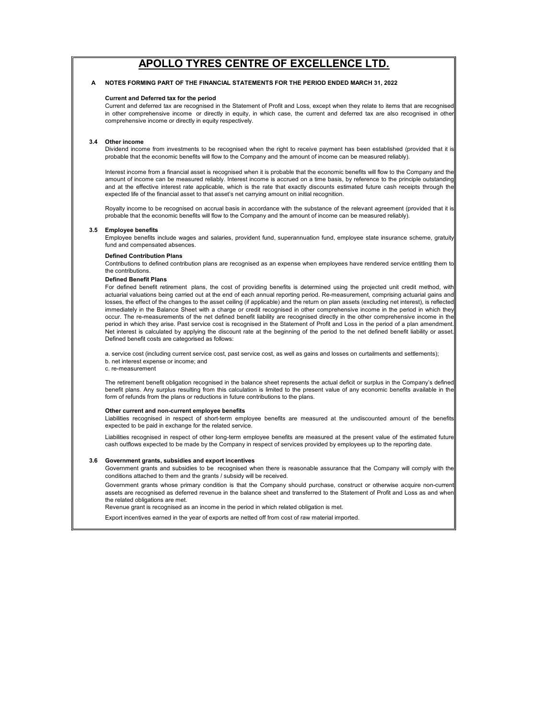### A NOTES FORMING PART OF THE FINANCIAL STATEMENTS FOR THE PERIOD ENDED MARCH 31, 2022

### Current and Deferred tax for the period

Current and deferred tax are recognised in the Statement of Profit and Loss, except when they relate to items that are recognised in other comprehensive income or directly in equity, in which case, the current and deferred tax are also recognised in other comprehensive income or directly in equity respectively.

### 3.4 Other income

Dividend income from investments to be recognised when the right to receive payment has been established (provided that it is probable that the economic benefits will flow to the Company and the amount of income can be measured reliably).

Interest income from a financial asset is recognised when it is probable that the economic benefits will flow to the Company and the amount of income can be measured reliably. Interest income is accrued on a time basis, by reference to the principle outstanding and at the effective interest rate applicable, which is the rate that exactly discounts estimated future cash receipts through the expected life of the financial asset to that asset's net carrying amount on initial recognition.

Royalty income to be recognised on accrual basis in accordance with the substance of the relevant agreement (provided that it is probable that the economic benefits will flow to the Company and the amount of income can be measured reliably).

#### 3.5 Employee benefits

Employee benefits include wages and salaries, provident fund, superannuation fund, employee state insurance scheme, gratuity fund and compensated absences.

### Defined Contribution Plans

Contributions to defined contribution plans are recognised as an expense when employees have rendered service entitling them to the contributions.

### Defined Benefit Plans

For defined benefit retirement plans, the cost of providing benefits is determined using the projected unit credit method, with actuarial valuations being carried out at the end of each annual reporting period. Re-measurement, comprising actuarial gains and losses, the effect of the changes to the asset ceiling (if applicable) and the return on plan assets (excluding net interest), is reflected immediately in the Balance Sheet with a charge or credit recognised in other comprehensive income in the period in which they occur. The re-measurements of the net defined benefit liability are recognised directly in the other comprehensive income in the period in which they arise. Past service cost is recognised in the Statement of Profit and Loss in the period of a plan amendment. Net interest is calculated by applying the discount rate at the beginning of the period to the net defined benefit liability or asset. Defined benefit costs are categorised as follows:

a. service cost (including current service cost, past service cost, as well as gains and losses on curtailments and settlements); b. net interest expense or income; and

c. re-measurement

The retirement benefit obligation recognised in the balance sheet represents the actual deficit or surplus in the Company's defined benefit plans. Any surplus resulting from this calculation is limited to the present value of any economic benefits available in the form of refunds from the plans or reductions in future contributions to the plans.

### Other current and non-current employee benefits

Liabilities recognised in respect of short-term employee benefits are measured at the undiscounted amount of the benefits expected to be paid in exchange for the related service.

Liabilities recognised in respect of other long-term employee benefits are measured at the present value of the estimated future cash outflows expected to be made by the Company in respect of services provided by employees up to the reporting date.

#### 3.6 Government grants, subsidies and export incentives

Government grants and subsidies to be recognised when there is reasonable assurance that the Company will comply with the conditions attached to them and the grants / subsidy will be received.

Government grants whose primary condition is that the Company should purchase, construct or otherwise acquire non-current assets are recognised as deferred revenue in the balance sheet and transferred to the Statement of Profit and Loss as and when the related obligations are met.

Revenue grant is recognised as an income in the period in which related obligation is met.

Export incentives earned in the year of exports are netted off from cost of raw material imported.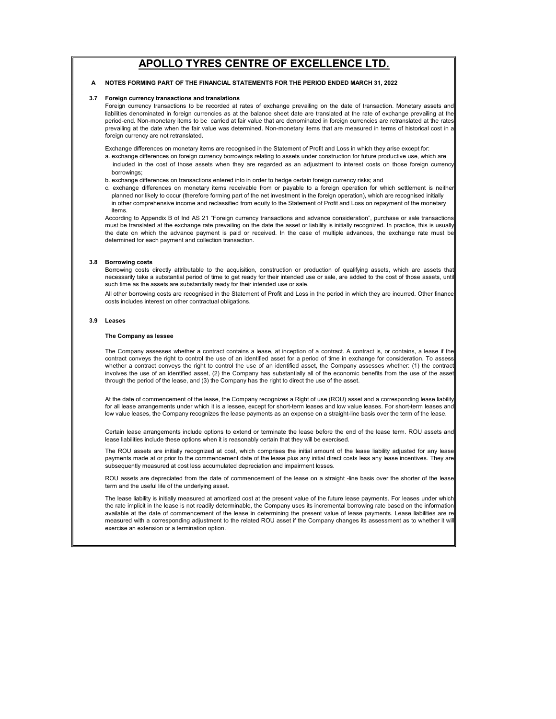### A NOTES FORMING PART OF THE FINANCIAL STATEMENTS FOR THE PERIOD ENDED MARCH 31, 2022

#### 3.7 Foreign currency transactions and translations

Foreign currency transactions to be recorded at rates of exchange prevailing on the date of transaction. Monetary assets and liabilities denominated in foreign currencies as at the balance sheet date are translated at the rate of exchange prevailing at the period-end. Non-monetary items to be carried at fair value that are denominated in foreign currencies are retranslated at the rates prevailing at the date when the fair value was determined. Non-monetary items that are measured in terms of historical cost in a foreign currency are not retranslated.

Exchange differences on monetary items are recognised in the Statement of Profit and Loss in which they arise except for:

- borrowings; a. exchange differences on foreign currency borrowings relating to assets under construction for future productive use, which are included in the cost of those assets when they are regarded as an adjustment to interest costs on those foreign currency
- b. exchange differences on transactions entered into in order to hedge certain foreign currency risks; and
- in other comprehensive income and reclassified from equity to the Statement of Profit and Loss on repayment of the monetary items. c. exchange differences on monetary items receivable from or payable to a foreign operation for which settlement is neither planned nor likely to occur (therefore forming part of the net investment in the foreign operation), which are recognised initially

According to Appendix B of Ind AS 21 "Foreign currency transactions and advance consideration", purchase or sale transactions must be translated at the exchange rate prevailing on the date the asset or liability is initially recognized. In practice, this is usually the date on which the advance payment is paid or received. In the case of multiple advances, the exchange rate must be determined for each payment and collection transaction.

### 3.8 Borrowing costs

Borrowing costs directly attributable to the acquisition, construction or production of qualifying assets, which are assets that necessarily take a substantial period of time to get ready for their intended use or sale, are added to the cost of those assets, until such time as the assets are substantially ready for their intended use or sale.

All other borrowing costs are recognised in the Statement of Profit and Loss in the period in which they are incurred. Other finance costs includes interest on other contractual obligations.

### 3.9 Leases

### The Company as lessee

The Company assesses whether a contract contains a lease, at inception of a contract. A contract is, or contains, a lease if the contract conveys the right to control the use of an identified asset for a period of time in exchange for consideration. To assess whether a contract conveys the right to control the use of an identified asset, the Company assesses whether: (1) the contract involves the use of an identified asset, (2) the Company has substantially all of the economic benefits from the use of the asset through the period of the lease, and (3) the Company has the right to direct the use of the asset.

At the date of commencement of the lease, the Company recognizes a Right of use (ROU) asset and a corresponding lease liability for all lease arrangements under which it is a lessee, except for short-term leases and low value leases. For short-term leases and low value leases, the Company recognizes the lease payments as an expense on a straight-line basis over the term of the lease.

Certain lease arrangements include options to extend or terminate the lease before the end of the lease term. ROU assets and lease liabilities include these options when it is reasonably certain that they will be exercised.

The ROU assets are initially recognized at cost, which comprises the initial amount of the lease liability adjusted for any lease payments made at or prior to the commencement date of the lease plus any initial direct costs less any lease incentives. They are subsequently measured at cost less accumulated depreciation and impairment losses.

ROU assets are depreciated from the date of commencement of the lease on a straight -line basis over the shorter of the lease term and the useful life of the underlying asset.

The lease liability is initially measured at amortized cost at the present value of the future lease payments. For leases under which the rate implicit in the lease is not readily determinable, the Company uses its incremental borrowing rate based on the information available at the date of commencement of the lease in determining the present value of lease payments. Lease liabilities are re measured with a corresponding adjustment to the related ROU asset if the Company changes its assessment as to whether it will exercise an extension or a termination option.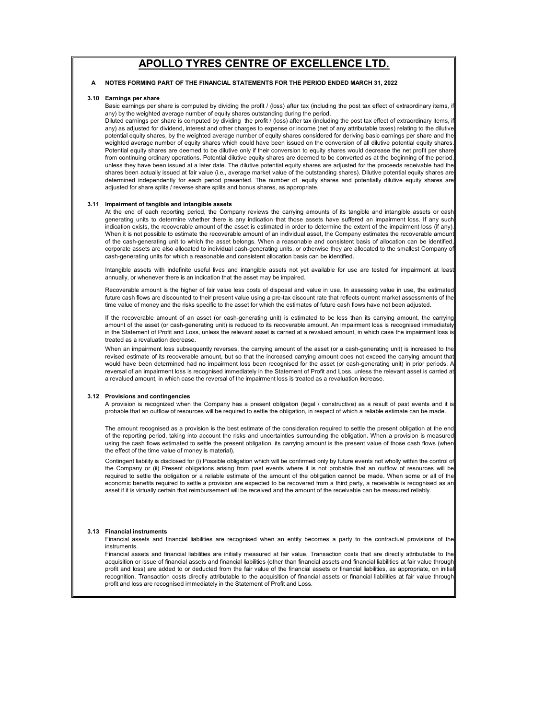### A NOTES FORMING PART OF THE FINANCIAL STATEMENTS FOR THE PERIOD ENDED MARCH 31, 2022

### 3.10 Earnings per share

Basic earnings per share is computed by dividing the profit / (loss) after tax (including the post tax effect of extraordinary items, if any) by the weighted average number of equity shares outstanding during the period.

Diluted earnings per share is computed by dividing the profit / (loss) after tax (including the post tax effect of extraordinary items, i any) as adjusted for dividend, interest and other charges to expense or income (net of any attributable taxes) relating to the dilutive potential equity shares, by the weighted average number of equity shares considered for deriving basic earnings per share and the weighted average number of equity shares which could have been issued on the conversion of all dilutive potential equity shares. Potential equity shares are deemed to be dilutive only if their conversion to equity shares would decrease the net profit per share from continuing ordinary operations. Potential dilutive equity shares are deemed to be converted as at the beginning of the period, unless they have been issued at a later date. The dilutive potential equity shares are adjusted for the proceeds receivable had the shares been actually issued at fair value (i.e., average market value of the outstanding shares). Dilutive potential equity shares are determined independently for each period presented. The number of equity shares and potentially dilutive equity shares are adjusted for share splits / reverse share splits and bonus shares, as appropriate.

### 3.11 Impairment of tangible and intangible assets

At the end of each reporting period, the Company reviews the carrying amounts of its tangible and intangible assets or cash generating units to determine whether there is any indication that those assets have suffered an impairment loss. If any such indication exists, the recoverable amount of the asset is estimated in order to determine the extent of the impairment loss (if any). When it is not possible to estimate the recoverable amount of an individual asset, the Company estimates the recoverable amount of the cash-generating unit to which the asset belongs. When a reasonable and consistent basis of allocation can be identified, corporate assets are also allocated to individual cash-generating units, or otherwise they are allocated to the smallest Company of cash-generating units for which a reasonable and consistent allocation basis can be identified.

Intangible assets with indefinite useful lives and intangible assets not yet available for use are tested for impairment at least annually, or whenever there is an indication that the asset may be impaired.

Recoverable amount is the higher of fair value less costs of disposal and value in use. In assessing value in use, the estimated future cash flows are discounted to their present value using a pre-tax discount rate that reflects current market assessments of the time value of money and the risks specific to the asset for which the estimates of future cash flows have not been adjusted.

If the recoverable amount of an asset (or cash-generating unit) is estimated to be less than its carrying amount, the carrying amount of the asset (or cash-generating unit) is reduced to its recoverable amount. An impairment loss is recognised immediately in the Statement of Profit and Loss, unless the relevant asset is carried at a revalued amount, in which case the impairment loss is treated as a revaluation decrease.

When an impairment loss subsequently reverses, the carrying amount of the asset (or a cash-generating unit) is increased to the revised estimate of its recoverable amount, but so that the increased carrying amount does not exceed the carrying amount that would have been determined had no impairment loss been recognised for the asset (or cash-generating unit) in prior periods. A reversal of an impairment loss is recognised immediately in the Statement of Profit and Loss, unless the relevant asset is carried at a revalued amount, in which case the reversal of the impairment loss is treated as a revaluation increase.

#### 3.12 Provisions and contingencies

A provision is recognized when the Company has a present obligation (legal / constructive) as a result of past events and it i probable that an outflow of resources will be required to settle the obligation, in respect of which a reliable estimate can be made.

The amount recognised as a provision is the best estimate of the consideration required to settle the present obligation at the end of the reporting period, taking into account the risks and uncertainties surrounding the obligation. When a provision is measured using the cash flows estimated to settle the present obligation, its carrying amount is the present value of those cash flows (when the effect of the time value of money is material).

Contingent liability is disclosed for (i) Possible obligation which will be confirmed only by future events not wholly within the control of the Company or (ii) Present obligations arising from past events where it is not probable that an outflow of resources will be required to settle the obligation or a reliable estimate of the amount of the obligation cannot be made. When some or all of the economic benefits required to settle a provision are expected to be recovered from a third party, a receivable is recognised as an asset if it is virtually certain that reimbursement will be received and the amount of the receivable can be measured reliably.

#### 3.13 Financial instruments

Financial assets and financial liabilities are recognised when an entity becomes a party to the contractual provisions of the instruments.

Financial assets and financial liabilities are initially measured at fair value. Transaction costs that are directly attributable to the acquisition or issue of financial assets and financial liabilities (other than financial assets and financial liabilities at fair value through profit and loss) are added to or deducted from the fair value of the financial assets or financial liabilities, as appropriate, on initial recognition. Transaction costs directly attributable to the acquisition of financial assets or financial liabilities at fair value through profit and loss are recognised immediately in the Statement of Profit and Loss.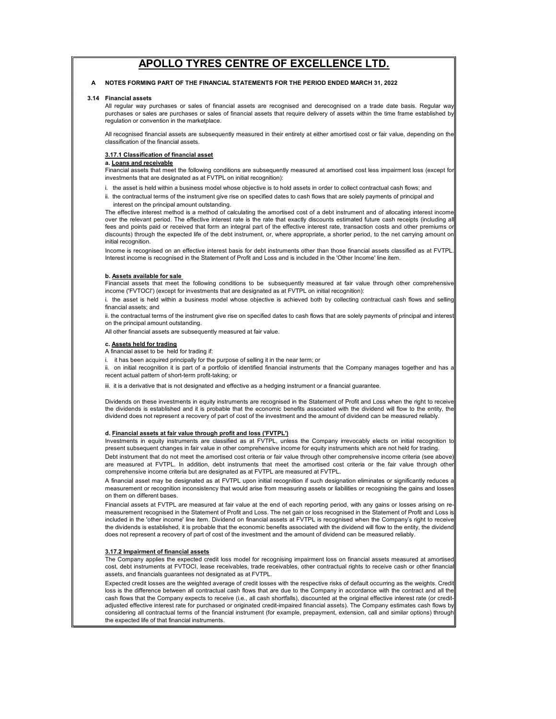### A NOTES FORMING PART OF THE FINANCIAL STATEMENTS FOR THE PERIOD ENDED MARCH 31, 2022

#### 3.14 Financial assets

All regular way purchases or sales of financial assets are recognised and derecognised on a trade date basis. Regular way purchases or sales are purchases or sales of financial assets that require delivery of assets within the time frame established by regulation or convention in the marketplace.

All recognised financial assets are subsequently measured in their entirety at either amortised cost or fair value, depending on the classification of the financial assets.

### 3.17.1 Classification of financial asset

### a. Loans and receivable

Financial assets that meet the following conditions are subsequently measured at amortised cost less impairment loss (except for investments that are designated as at FVTPL on initial recognition):

- i. the asset is held within a business model whose objective is to hold assets in order to collect contractual cash flows; and
- interest on the principal amount outstanding. ii. the contractual terms of the instrument give rise on specified dates to cash flows that are solely payments of principal and

The effective interest method is a method of calculating the amortised cost of a debt instrument and of allocating interest income over the relevant period. The effective interest rate is the rate that exactly discounts estimated future cash receipts (including all fees and points paid or received that form an integral part of the effective interest rate, transaction costs and other premiums or discounts) through the expected life of the debt instrument, or, where appropriate, a shorter period, to the net carrying amount on initial recognition.

Income is recognised on an effective interest basis for debt instruments other than those financial assets classified as at FVTPL. Interest income is recognised in the Statement of Profit and Loss and is included in the 'Other Income' line item.

### b. Assets available for sale

Financial assets that meet the following conditions to be subsequently measured at fair value through other comprehensive<br>income ('FVTOCI') (except for investments that are designated as at FVTPL on initial recognition):

i. the asset is held within a business model whose objective is achieved both by collecting contractual cash flows and selling financial assets; and

ii. the contractual terms of the instrument give rise on specified dates to cash flows that are solely payments of principal and interes on the principal amount outstanding.

All other financial assets are subsequently measured at fair value.

### c. Assets held for trading

A financial asset to be held for trading if:

i. it has been acquired principally for the purpose of selling it in the near term; or

ii. on initial recognition it is part of a portfolio of identified financial instruments that the Company manages together and has a recent actual pattern of short-term profit-taking; or

iii. it is a derivative that is not designated and effective as a hedging instrument or a financial guarantee.

Dividends on these investments in equity instruments are recognised in the Statement of Profit and Loss when the right to receive the dividends is established and it is probable that the economic benefits associated with the dividend will flow to the entity, the dividend does not represent a recovery of part of cost of the investment and the amount of dividend can be measured reliably.

### d. Financial assets at fair value through profit and loss ('FVTPL')

Debt instrument that do not meet the amortised cost criteria or fair value through other comprehensive income criteria (see above) are measured at FVTPL. In addition, debt instruments that meet the amortised cost criteria or the fair value through other comprehensive income criteria but are designated as at FVTPL are measured at FVTPL. Investments in equity instruments are classified as at FVTPL, unless the Company irrevocably elects on initial recognition to present subsequent changes in fair value in other comprehensive income for equity instruments which are not held for trading.

A financial asset may be designated as at FVTPL upon initial recognition if such designation eliminates or significantly reduces a measurement or recognition inconsistency that would arise from measuring assets or liabilities or recognising the gains and losses on them on different bases.

Financial assets at FVTPL are measured at fair value at the end of each reporting period, with any gains or losses arising on remeasurement recognised in the Statement of Profit and Loss. The net gain or loss recognised in the Statement of Profit and Loss is included in the 'other income' line item. Dividend on financial assets at FVTPL is recognised when the Company's right to receive the dividends is established, it is probable that the economic benefits associated with the dividend will flow to the entity, the dividend does not represent a recovery of part of cost of the investment and the amount of dividend can be measured reliably.

#### 3.17.2 Impairment of financial assets

The Company applies the expected credit loss model for recognising impairment loss on financial assets measured at amortised cost, debt instruments at FVTOCI, lease receivables, trade receivables, other contractual rights to receive cash or other financial assets, and financials guarantees not designated as at FVTPL.

Expected credit losses are the weighted average of credit losses with the respective risks of default occurring as the weights. Credit loss is the difference between all contractual cash flows that are due to the Company in accordance with the contract and all the cash flows that the Company expects to receive (i.e., all cash shortfalls), discounted at the original effective interest rate (or creditadjusted effective interest rate for purchased or originated credit-impaired financial assets). The Company estimates cash flows by considering all contractual terms of the financial instrument (for example, prepayment, extension, call and similar options) through the expected life of that financial instruments.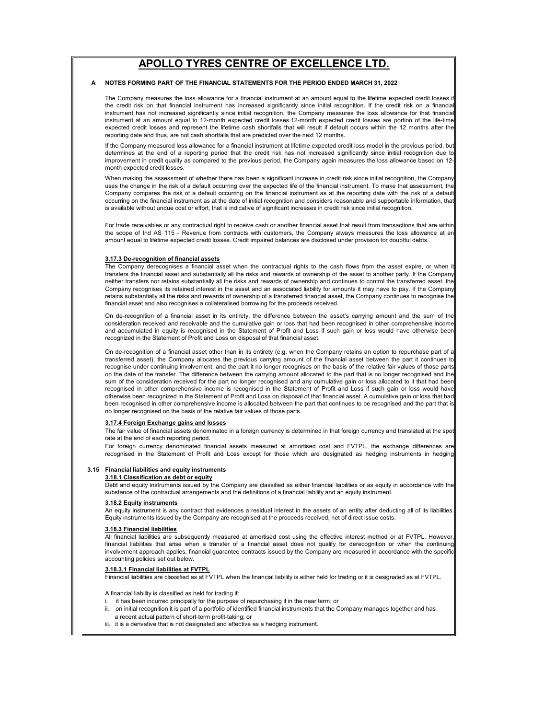### A NOTES FORMING PART OF THE FINANCIAL STATEMENTS FOR THE PERIOD ENDED MARCH 31, 2022

The Company measures the loss allowance for a financial instrument at an amount equal to the lifetime expected credit losses the credit risk on that financial instrument has increased significantly since initial recognition. If the credit risk on a financial instrument has not increased significantly since initial recognition, the Company measures the loss allowance for that financial instrument at an amount equal to 12-month expected credit losses.12-month expected credit losses are portion of the life-time expected credit losses and represent the lifetime cash shortfalls that will result if default occurs within the 12 months after the reporting date and thus, are not cash shortfalls that are predicted over the next 12 months.

If the Company measured loss allowance for a financial instrument at lifetime expected credit loss model in the previous period, but determines at the end of a reporting period that the credit risk has not increased significantly since initial recognition due to improvement in credit quality as compared to the previous period, the Company again measures the loss allowance based on 12 month expected credit losses.

When making the assessment of whether there has been a significant increase in credit risk since initial recognition, the Company uses the change in the risk of a default occurring over the expected life of the financial instrument. To make that assessment, the Company compares the risk of a default occurring on the financial instrument as at the reporting date with the risk of a default occurring on the financial instrument as at the date of initial recognition and considers reasonable and supportable information, that is available without undue cost or effort, that is indicative of significant increases in credit risk since initial recognition.

For trade receivables or any contractual right to receive cash or another financial asset that result from transactions that are within the scope of Ind AS 115 - Revenue from contracts with customers, the Company always measures the loss allowance at an amount equal to lifetime expected credit losses. Credit impaired balances are disclosed under provision for doubtful debts.

### 3.17.3 De-recognition of financial assets

The Company derecognises a financial asset when the contractual rights to the cash flows from the asset expire, or when it transfers the financial asset and substantially all the risks and rewards of ownership of the asset to another party. If the Company neither transfers nor retains substantially all the risks and rewards of ownership and continues to control the transferred asset, the Company recognises its retained interest in the asset and an associated liability for amounts it may have to pay. If the Company retains substantially all the risks and rewards of ownership of a transferred financial asset, the Company continues to recognise the financial asset and also recognises a collateralised borrowing for the proceeds received.

On de-recognition of a financial asset in its entirety, the difference between the asset's carrying amount and the sum of the consideration received and receivable and the cumulative gain or loss that had been recognised in other comprehensive income and accumulated in equity is recognised in the Statement of Profit and Loss if such gain or loss would have otherwise been recognized in the Statement of Profit and Loss on disposal of that financial asset.

On de-recognition of a financial asset other than in its entirety (e.g. when the Company retains an option to repurchase part of a transferred asset), the Company allocates the previous carrying amount of the financial asset between the part it continues to recognise under continuing involvement, and the part it no longer recognises on the basis of the relative fair values of those parts on the date of the transfer. The difference between the carrying amount allocated to the part that is no longer recognised and the sum of the consideration received for the part no longer recognised and any cumulative gain or loss allocated to it that had been recognised in other comprehensive income is recognised in the Statement of Profit and Loss if such gain or loss would have otherwise been recognized in the Statement of Profit and Loss on disposal of that financial asset. A cumulative gain or loss that had been recognised in other comprehensive income is allocated between the part that continues to be recognised and the part that is no longer recognised on the basis of the relative fair values of those parts.

### 3.17.4 Foreign Exchange gains and losses

The fair value of financial assets denominated in a foreign currency is determined in that foreign currency and translated at the spo rate at the end of each reporting period.

For foreign currency denominated financial assets measured at amortised cost and FVTPL, the exchange differences are recognised in the Statement of Profit and Loss except for those which are designated as hedging instruments in hedging

#### 3.15 Financial liabilities and equity instruments

### 3.18.1 Classification as debt or equity

Debt and equity instruments issued by the Company are classified as either financial liabilities or as equity in accordance with the substance of the contractual arrangements and the definitions of a financial liability and an equity instrument.

### 3.18.2 Equity instruments

An equity instrument is any contract that evidences a residual interest in the assets of an entity after deducting all of its liabilities. Equity instruments issued by the Company are recognised at the proceeds received, net of direct issue costs.

### 3.18.3 Financial liabilities

All financial liabilities are subsequently measured at amortised cost using the effective interest method or at FVTPL. However, financial liabilities that arise when a transfer of a financial asset does not qualify for derecognition or when the continuing involvement approach applies, financial guarantee contracts issued by the Company are measured in accordance with the specific accounting policies set out below.

### 3.18.3.1 Financial liabilities at FVTPL

Financial liabilities are classified as at FVTPL when the financial liability is either held for trading or it is designated as at FVTPL.

A financial liability is classified as held for trading if:

- i. it has been incurred principally for the purpose of repurchasing it in the near term; or
- a recent actual pattern of short-term profit-taking; or on initial recognition it is part of a portfolio of identified financial instruments that the Company manages together and has
- iii. it is a derivative that is not designated and effective as a hedging instrument.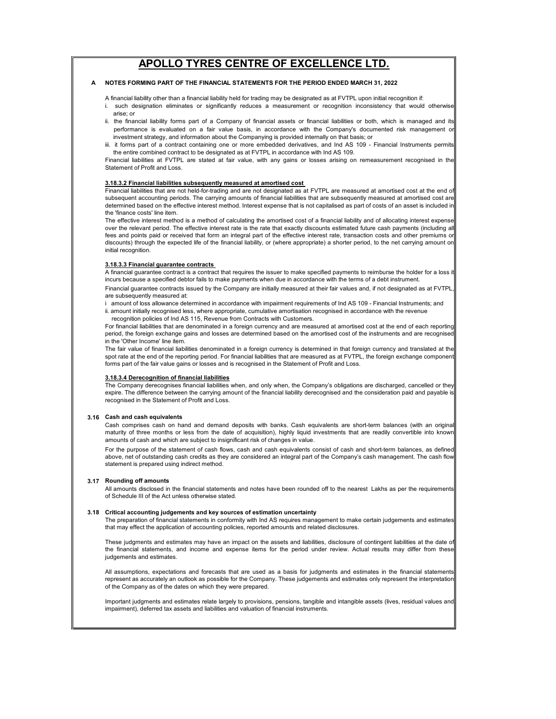#### A NOTES FORMING PART OF THE FINANCIAL STATEMENTS FOR THE PERIOD ENDED MARCH 31, 2022

A financial liability other than a financial liability held for trading may be designated as at FVTPL upon initial recognition if:

- arise; or i. such designation eliminates or significantly reduces a measurement or recognition inconsistency that would otherwise
- ii. the financial liability forms part of a Company of financial assets or financial liabilities or both, which is managed and it performance is evaluated on a fair value basis, in accordance with the Company's documented risk management or investment strategy, and information about the Companying is provided internally on that basis; or
- the entire combined contract to be designated as at FVTPL in accordance with Ind AS 109. iii. it forms part of a contract containing one or more embedded derivatives, and Ind AS 109 - Financial Instruments permits

Financial liabilities at FVTPL are stated at fair value, with any gains or losses arising on remeasurement recognised in the Statement of Profit and Loss.

### 3.18.3.2 Financial liabilities subsequently measured at amortised cost

Financial liabilities that are not held-for-trading and are not designated as at FVTPL are measured at amortised cost at the end of subsequent accounting periods. The carrying amounts of financial liabilities that are subsequently measured at amortised cost are determined based on the effective interest method. Interest expense that is not capitalised as part of costs of an asset is included in the 'finance costs' line item.

The effective interest method is a method of calculating the amortised cost of a financial liability and of allocating interest expense over the relevant period. The effective interest rate is the rate that exactly discounts estimated future cash payments (including all fees and points paid or received that form an integral part of the effective interest rate, transaction costs and other premiums or discounts) through the expected life of the financial liability, or (where appropriate) a shorter period, to the net carrying amount on initial recognition.

#### 3.18.3.3 Financial guarantee contracts

A financial guarantee contract is a contract that requires the issuer to make specified payments to reimburse the holder for a loss it incurs because a specified debtor fails to make payments when due in accordance with the terms of a debt instrument.

Financial guarantee contracts issued by the Company are initially measured at their fair values and, if not designated as at FVTPL, are subsequently measured at:

i amount of loss allowance determined in accordance with impairment requirements of Ind AS 109 - Financial Instruments; and

 recognition policies of Ind AS 115, Revenue from Contracts with Customers. ii. amount initially recognised less, where appropriate, cumulative amortisation recognised in accordance with the revenue

For financial liabilities that are denominated in a foreign currency and are measured at amortised cost at the end of each reporting period, the foreign exchange gains and losses are determined based on the amortised cost of the instruments and are recognised in the 'Other Income' line item.

The fair value of financial liabilities denominated in a foreign currency is determined in that foreign currency and translated at the spot rate at the end of the reporting period. For financial liabilities that are measured as at FVTPL, the foreign exchange component forms part of the fair value gains or losses and is recognised in the Statement of Profit and Loss.

### 3.18.3.4 Derecognition of financial liabilities

The Company derecognises financial liabilities when, and only when, the Company's obligations are discharged, cancelled or they expire. The difference between the carrying amount of the financial liability derecognised and the consideration paid and payable is recognised in the Statement of Profit and Loss.

### 3.16 Cash and cash equivalents

Cash comprises cash on hand and demand deposits with banks. Cash equivalents are short-term balances (with an original maturity of three months or less from the date of acquisition), highly liquid investments that are readily convertible into known amounts of cash and which are subject to insignificant risk of changes in value.

For the purpose of the statement of cash flows, cash and cash equivalents consist of cash and short-term balances, as defined above, net of outstanding cash credits as they are considered an integral part of the Company's cash management. The cash flow statement is prepared using indirect method.

#### 3.17 Rounding off amounts

All amounts disclosed in the financial statements and notes have been rounded off to the nearest Lakhs as per the requirements of Schedule III of the Act unless otherwise stated.

#### 3.18 Critical accounting judgements and key sources of estimation uncertainty

The preparation of financial statements in conformity with Ind AS requires management to make certain judgements and estimates that may effect the application of accounting policies, reported amounts and related disclosures.

These judgments and estimates may have an impact on the assets and liabilities, disclosure of contingent liabilities at the date of the financial statements, and income and expense items for the period under review. Actual results may differ from these judgements and estimates.

All assumptions, expectations and forecasts that are used as a basis for judgments and estimates in the financial statements represent as accurately an outlook as possible for the Company. These judgements and estimates only represent the interpretation of the Company as of the dates on which they were prepared.

Important judgments and estimates relate largely to provisions, pensions, tangible and intangible assets (lives, residual values and impairment), deferred tax assets and liabilities and valuation of financial instruments.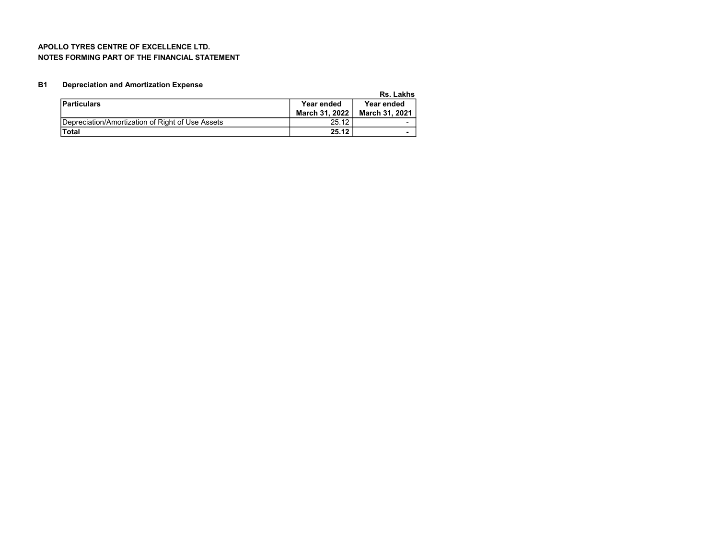### APOLLO TYRES CENTRE OF EXCELLENCE LTD. NOTES FORMING PART OF THE FINANCIAL STATEMENT

#### B1 Depreciation and Amortization Expense

Rs. Lakhs

|                                                  |                | .                     |
|--------------------------------------------------|----------------|-----------------------|
| <b>Particulars</b>                               | Year ended     | Year ended            |
|                                                  | March 31, 2022 | <b>March 31, 2021</b> |
| Depreciation/Amortization of Right of Use Assets | 25.12          |                       |
| <b>Total</b>                                     | 25.12          |                       |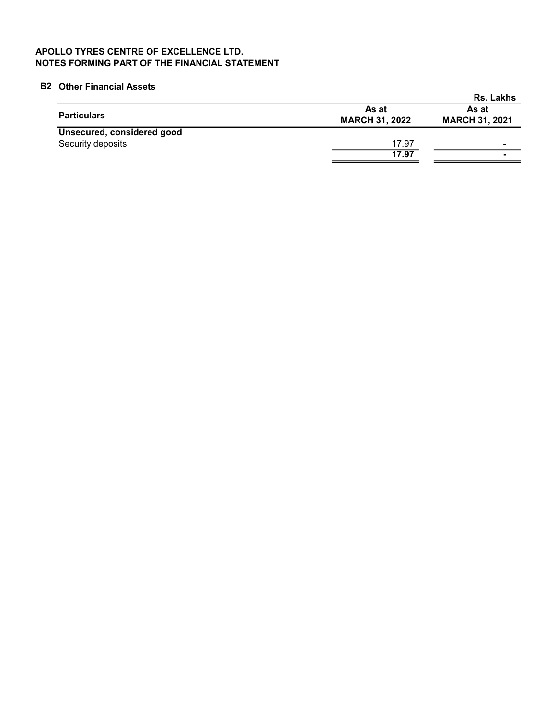# APOLLO TYRES CENTRE OF EXCELLENCE LTD. NOTES FORMING PART OF THE FINANCIAL STATEMENT

# B2 Other Financial Assets

|                            |                                | Rs. Lakhs                      |
|----------------------------|--------------------------------|--------------------------------|
| <b>Particulars</b>         | As at<br><b>MARCH 31, 2022</b> | As at<br><b>MARCH 31, 2021</b> |
| Unsecured, considered good |                                |                                |
| Security deposits          | 17.97                          | $\sim$                         |
|                            | 17.97                          | ۰                              |
|                            |                                |                                |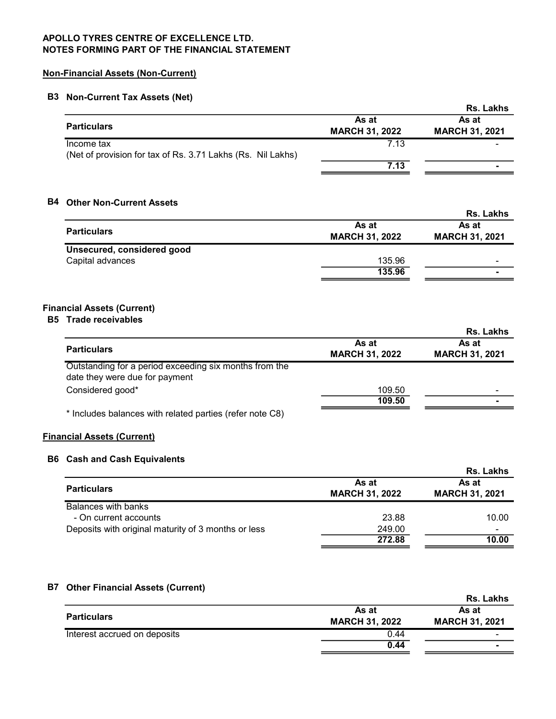# Non-Financial Assets (Non-Current)

# B3 Non-Current Tax Assets (Net)

|                                                             |                       | Rs. Lakhs             |
|-------------------------------------------------------------|-----------------------|-----------------------|
|                                                             | As at                 | As at                 |
| <b>Particulars</b>                                          | <b>MARCH 31, 2022</b> | <b>MARCH 31, 2021</b> |
| Income tax                                                  | 7.13                  |                       |
| (Net of provision for tax of Rs. 3.71 Lakhs (Rs. Nil Lakhs) |                       |                       |
|                                                             | 7.13                  |                       |
|                                                             |                       |                       |

# B4 Other Non-Current Assets

|        | <b>Rs. Lakhs</b>      |
|--------|-----------------------|
| As at  | As at                 |
|        | <b>MARCH 31, 2021</b> |
|        |                       |
| 135.96 | -                     |
| 135.96 |                       |
|        | <b>MARCH 31, 2022</b> |

# Financial Assets (Current)

# B5 Trade receivables

|                                                                                          |                                | Rs. Lakhs                      |
|------------------------------------------------------------------------------------------|--------------------------------|--------------------------------|
| <b>Particulars</b>                                                                       | As at<br><b>MARCH 31, 2022</b> | As at<br><b>MARCH 31, 2021</b> |
| Outstanding for a period exceeding six months from the<br>date they were due for payment |                                |                                |
| Considered good*                                                                         | 109.50                         |                                |
|                                                                                          | 109.50                         |                                |
| * Includes balances with related parties (refer note C8)                                 |                                |                                |

# Financial Assets (Current)

## B6 Cash and Cash Equivalents

|                                                     |                                | Rs. Lakhs                      |
|-----------------------------------------------------|--------------------------------|--------------------------------|
| <b>Particulars</b>                                  | As at<br><b>MARCH 31, 2022</b> | As at<br><b>MARCH 31, 2021</b> |
| Balances with banks                                 |                                |                                |
| - On current accounts                               | 23.88                          | 10.00                          |
| Deposits with original maturity of 3 months or less | 249.00                         |                                |
|                                                     | 272.88                         | 10.00                          |

# B7 Other Financial Assets (Current)

|                       | <b>Rs. Lakhs</b>      |
|-----------------------|-----------------------|
| As at                 | As at                 |
| <b>MARCH 31, 2022</b> | <b>MARCH 31, 2021</b> |
| 0.44                  | -                     |
| 0.44                  | -                     |
|                       |                       |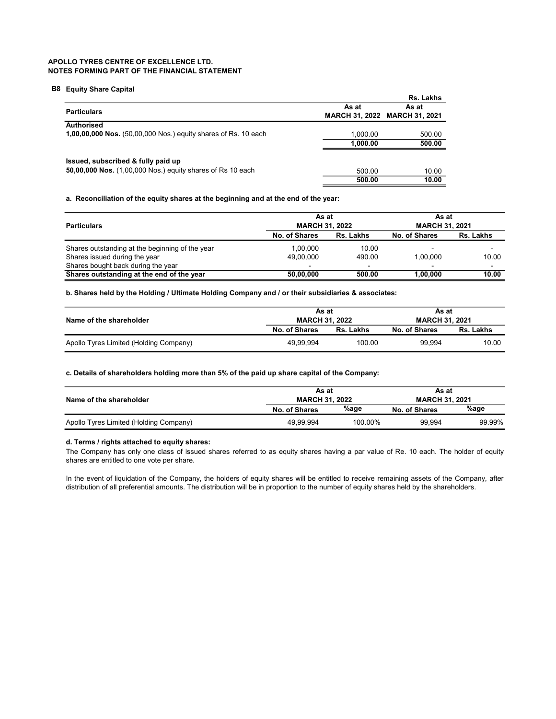### B8 Equity Share Capital

|                                                                       |          | Rs. Lakhs                     |
|-----------------------------------------------------------------------|----------|-------------------------------|
| <b>Particulars</b>                                                    | As at    | As at                         |
|                                                                       |          | MARCH 31, 2022 MARCH 31, 2021 |
| Authorised                                                            |          |                               |
| <b>1,00,00,000 Nos.</b> (50,00,000 Nos.) equity shares of Rs. 10 each | 1.000.00 | 500.00                        |
|                                                                       | 1.000.00 | 500.00                        |
| Issued, subscribed & fully paid up                                    |          |                               |
| <b>50,00,000 Nos.</b> (1,00,000 Nos.) equity shares of Rs 10 each     | 500.00   | 10.00                         |
|                                                                       | 500.00   | 10.00                         |

a. Reconciliation of the equity shares at the beginning and at the end of the year:

| As at<br><b>MARCH 31, 2022</b><br><b>Particulars</b><br>Rs. Lakhs<br>No. of Shares |           | As at<br><b>MARCH 31, 2021</b> |                          |                          |
|------------------------------------------------------------------------------------|-----------|--------------------------------|--------------------------|--------------------------|
|                                                                                    |           |                                | No. of Shares            | Rs. Lakhs                |
| Shares outstanding at the beginning of the year                                    | 1.00.000  | 10.00                          | $\overline{\phantom{0}}$ |                          |
| Shares issued during the year                                                      | 49,00,000 | 490.00                         | 1.00.000                 | 10.00                    |
| Shares bought back during the year                                                 |           | $\overline{\phantom{0}}$       |                          | $\overline{\phantom{a}}$ |
| Shares outstanding at the end of the year                                          | 50,00,000 | 500.00                         | 1.00.000                 | 10.00                    |

b. Shares held by the Holding / Ultimate Holding Company and / or their subsidiaries & associates:

| As at<br><b>MARCH 31, 2022</b><br>Name of the shareholder |                      |           | As at<br><b>MARCH 31, 2021</b> |           |
|-----------------------------------------------------------|----------------------|-----------|--------------------------------|-----------|
|                                                           | <b>No. of Shares</b> | Rs. Lakhs | <b>No. of Shares</b>           | Rs. Lakhs |
| Apollo Tyres Limited (Holding Company)                    | 49.99.994            | 100.00    | 99.994                         | 10.00     |

### c. Details of shareholders holding more than 5% of the paid up share capital of the Company:

| Name of the shareholder                | As at<br><b>MARCH 31, 2022</b> |         | As at<br><b>MARCH 31, 2021</b> |        |
|----------------------------------------|--------------------------------|---------|--------------------------------|--------|
|                                        | No. of Shares                  | %age    | No. of Shares                  | %age   |
| Apollo Tyres Limited (Holding Company) | 49.99.994                      | 100.00% | 99.994                         | 99.99% |

### d. Terms / rights attached to equity shares:

The Company has only one class of issued shares referred to as equity shares having a par value of Re. 10 each. The holder of equity shares are entitled to one vote per share.

In the event of liquidation of the Company, the holders of equity shares will be entitled to receive remaining assets of the Company, after distribution of all preferential amounts. The distribution will be in proportion to the number of equity shares held by the shareholders.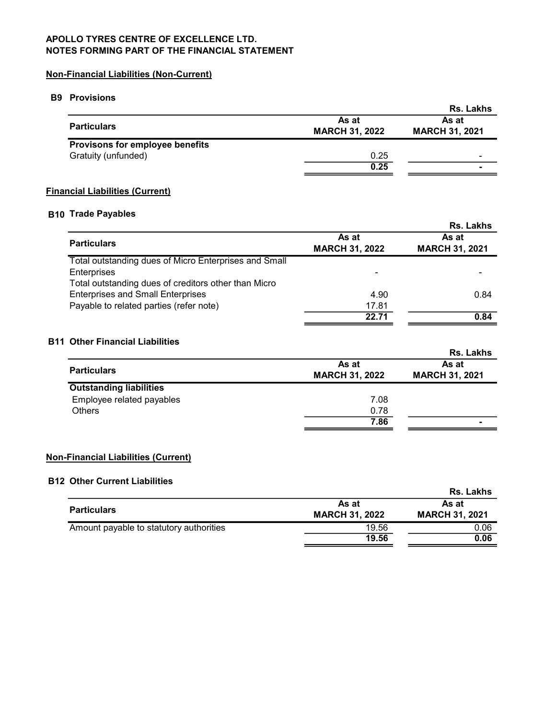# Non-Financial Liabilities (Non-Current)

# B9 Provisions

| .                                      |                                | Rs. Lakhs                      |
|----------------------------------------|--------------------------------|--------------------------------|
| <b>Particulars</b>                     | As at<br><b>MARCH 31, 2022</b> | As at<br><b>MARCH 31, 2021</b> |
| <b>Provisons for employee benefits</b> |                                |                                |
| Gratuity (unfunded)                    | 0.25                           |                                |
|                                        | 0.25                           |                                |
|                                        |                                |                                |

# Financial Liabilities (Current)

## B10 Trade Payables

|                                                       |                                | Rs. Lakhs                      |
|-------------------------------------------------------|--------------------------------|--------------------------------|
| <b>Particulars</b>                                    | As at<br><b>MARCH 31, 2022</b> | As at<br><b>MARCH 31, 2021</b> |
| Total outstanding dues of Micro Enterprises and Small |                                |                                |
| <b>Enterprises</b>                                    |                                |                                |
| Total outstanding dues of creditors other than Micro  |                                |                                |
| <b>Enterprises and Small Enterprises</b>              | 4.90                           | 0.84                           |
| Payable to related parties (refer note)               | 17.81                          |                                |
|                                                       | 22.71                          | 0.84                           |

# B11 Other Financial Liabilities

|                                |                                | <b>Rs. Lakhs</b>               |
|--------------------------------|--------------------------------|--------------------------------|
| <b>Particulars</b>             | As at<br><b>MARCH 31, 2022</b> | As at<br><b>MARCH 31, 2021</b> |
| <b>Outstanding liabilities</b> |                                |                                |
| Employee related payables      | 7.08                           |                                |
| <b>Others</b>                  | 0.78                           |                                |
|                                | 7.86                           |                                |

# Non-Financial Liabilities (Current)

# B12 Other Current Liabilities

| U JIVI YUN JIN EKUMING                  |                                | <b>Rs. Lakhs</b>               |
|-----------------------------------------|--------------------------------|--------------------------------|
| <b>Particulars</b>                      | As at<br><b>MARCH 31, 2022</b> | As at<br><b>MARCH 31, 2021</b> |
| Amount payable to statutory authorities | 19.56<br>19.56                 | 0.06<br>0.06                   |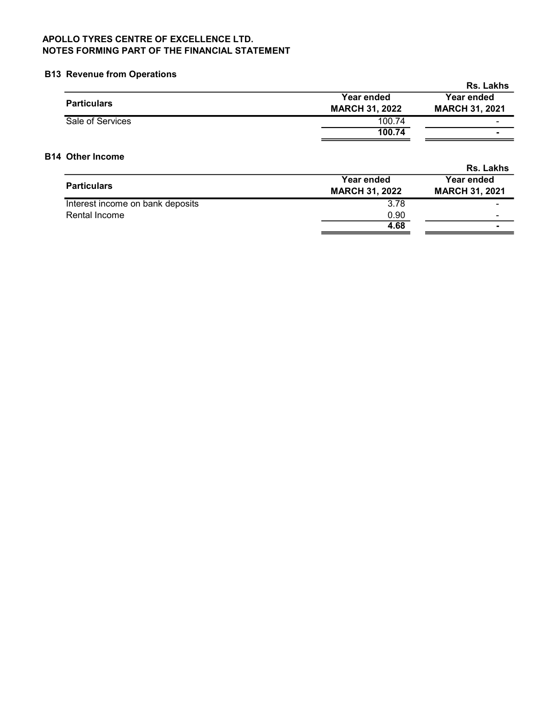# B13 Revenue from Operations

|                    |                       | <b>Rs. Lakhs</b>      |
|--------------------|-----------------------|-----------------------|
| <b>Particulars</b> | Year ended            | Year ended            |
|                    | <b>MARCH 31, 2022</b> | <b>MARCH 31, 2021</b> |
| Sale of Services   | 100.74                | -                     |
|                    | 100.74                |                       |

# B14 Other Income

|                       | <b>Rs. Lakhs</b>      |
|-----------------------|-----------------------|
| Year ended            | Year ended            |
| <b>MARCH 31, 2022</b> | <b>MARCH 31, 2021</b> |
| 3.78                  |                       |
| 0.90                  | -                     |
| 4.68                  |                       |
|                       |                       |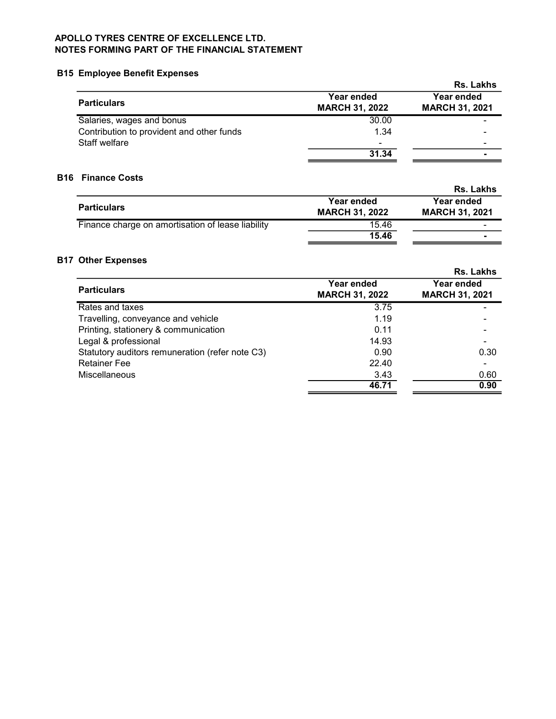# B15 Employee Benefit Expenses

|                                           |                                     | <b>Rs. Lakhs</b>                    |
|-------------------------------------------|-------------------------------------|-------------------------------------|
| <b>Particulars</b>                        | Year ended<br><b>MARCH 31, 2022</b> | Year ended<br><b>MARCH 31, 2021</b> |
| Salaries, wages and bonus                 | 30.00                               |                                     |
| Contribution to provident and other funds | 1.34                                |                                     |
| Staff welfare                             | $\overline{\phantom{0}}$            |                                     |
|                                           | 31.34                               |                                     |

# B16 Finance Costs

|                                                   |                                     | <b>Rs. Lakhs</b>                    |
|---------------------------------------------------|-------------------------------------|-------------------------------------|
| <b>Particulars</b>                                | Year ended<br><b>MARCH 31, 2022</b> | Year ended<br><b>MARCH 31, 2021</b> |
| Finance charge on amortisation of lease liability | 15.46                               |                                     |
|                                                   | 15.46                               |                                     |

# B17 Other Expenses

|                                                 |                                     | <b>Rs. Lakhs</b>                    |
|-------------------------------------------------|-------------------------------------|-------------------------------------|
| <b>Particulars</b>                              | Year ended<br><b>MARCH 31, 2022</b> | Year ended<br><b>MARCH 31, 2021</b> |
| Rates and taxes                                 | 3.75                                |                                     |
| Travelling, conveyance and vehicle              | 1.19                                |                                     |
| Printing, stationery & communication            | 0.11                                |                                     |
| Legal & professional                            | 14.93                               |                                     |
| Statutory auditors remuneration (refer note C3) | 0.90                                | 0.30                                |
| <b>Retainer Fee</b>                             | 22.40                               |                                     |
| Miscellaneous                                   | 3.43                                | 0.60                                |
|                                                 | 46.71                               | 0.90                                |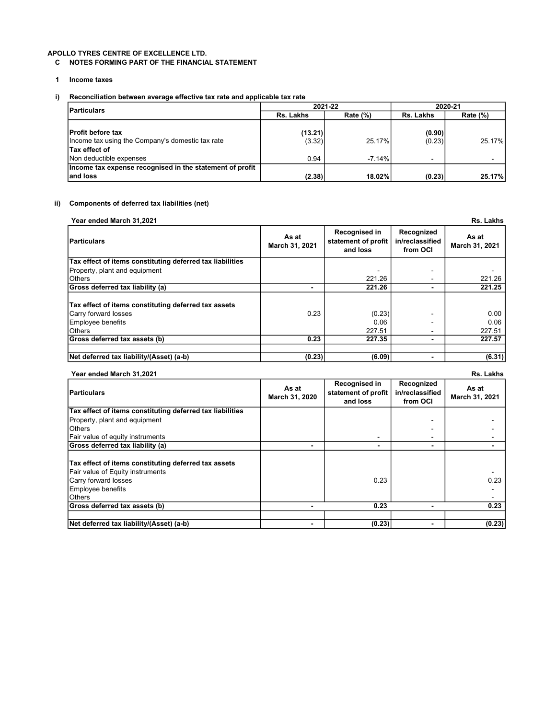### C NOTES FORMING PART OF THE FINANCIAL STATEMENT

- 1 Income taxes
- i) Reconciliation between average effective tax rate and applicable tax rate

| <b>Particulars</b>                                                           |                    | 2021-22     | 2020-21          |                          |
|------------------------------------------------------------------------------|--------------------|-------------|------------------|--------------------------|
|                                                                              | Rs. Lakhs          | Rate $(\%)$ |                  | Rate $(\%)$              |
| <b>Profit before tax</b><br>Income tax using the Company's domestic tax rate | (13.21) <br>(3.32) | 25.17%      | (0.90)<br>(0.23) | 25.17%                   |
| Tax effect of<br>Non deductible expenses                                     | 0.94               | $-7.14%$    | $\blacksquare$   | $\overline{\phantom{a}}$ |
| Income tax expense recognised in the statement of profit<br>land loss        | (2.38)             | 18.02%      | (0.23)           | 25.17%                   |

### ii) Components of deferred tax liabilities (net)

| Year ended March 31.2021 | Rs. Lakhs |
|--------------------------|-----------|
|--------------------------|-----------|

| Particulars                                               | As at<br>March 31, 2021 | Recognised in<br>statement of profit<br>and loss | Recognized<br>in/reclassified<br>from OCI | As at<br>March 31, 2021 |
|-----------------------------------------------------------|-------------------------|--------------------------------------------------|-------------------------------------------|-------------------------|
| Tax effect of items constituting deferred tax liabilities |                         |                                                  |                                           |                         |
| Property, plant and equipment                             |                         |                                                  |                                           |                         |
| <b>O</b> thers                                            |                         | 221.26                                           | $\blacksquare$                            | 221.26                  |
| Gross deferred tax liability (a)                          |                         | 221.26                                           | -                                         | 221.25                  |
| Tax effect of items constituting deferred tax assets      |                         |                                                  |                                           |                         |
| Carry forward losses                                      | 0.23                    | (0.23)                                           |                                           | 0.00                    |
| Employee benefits                                         |                         | 0.06                                             |                                           | 0.06                    |
| <b>O</b> thers                                            |                         | 227.51                                           | $\overline{\phantom{a}}$                  | 227.51                  |
| Gross deferred tax assets (b)                             | 0.23                    | 227.35                                           | -                                         | 227.57                  |
|                                                           |                         |                                                  |                                           |                         |
| Net deferred tax liability/(Asset) (a-b)                  | (0.23)                  | (6.09)                                           |                                           | (6.31)                  |

### Year ended March 31,2021 Rs. Lakhs

| <b>Particulars</b>                                                                                                                                             | As at<br>March 31, 2020 | Recognised in<br>statement of profit<br>and loss | Recognized<br>in/reclassified<br>from OCI | As at<br>March 31, 2021 |
|----------------------------------------------------------------------------------------------------------------------------------------------------------------|-------------------------|--------------------------------------------------|-------------------------------------------|-------------------------|
| Tax effect of items constituting deferred tax liabilities                                                                                                      |                         |                                                  |                                           |                         |
| Property, plant and equipment                                                                                                                                  |                         |                                                  |                                           |                         |
| <b>Others</b>                                                                                                                                                  |                         |                                                  |                                           |                         |
| Fair value of equity instruments                                                                                                                               |                         |                                                  | ۰                                         |                         |
| Gross deferred tax liability (a)                                                                                                                               |                         |                                                  | -                                         |                         |
| Tax effect of items constituting deferred tax assets<br><b>Fair value of Equity instruments</b><br>Carry forward losses<br>Employee benefits<br><b>O</b> thers |                         | 0.23                                             |                                           | 0.23                    |
| Gross deferred tax assets (b)                                                                                                                                  |                         | 0.23                                             |                                           | 0.23                    |
|                                                                                                                                                                |                         |                                                  |                                           |                         |
| Net deferred tax liability/(Asset) (a-b)                                                                                                                       |                         | (0.23)                                           | $\blacksquare$                            | (0.23)                  |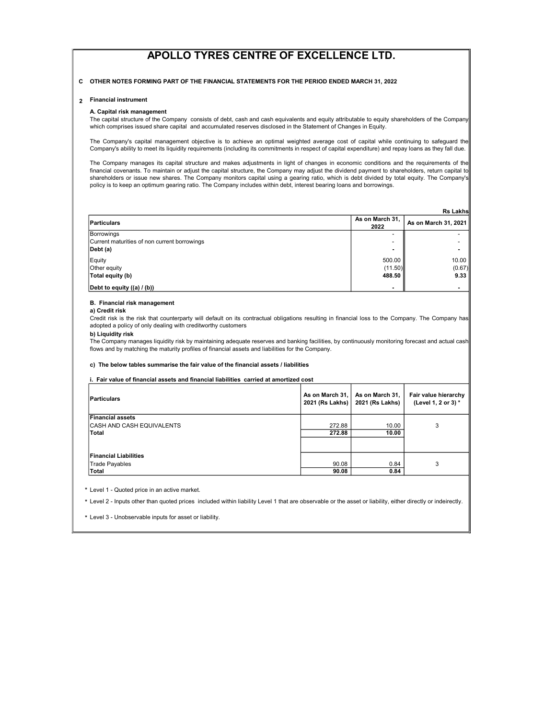### C OTHER NOTES FORMING PART OF THE FINANCIAL STATEMENTS FOR THE PERIOD ENDED MARCH 31, 2022

### 2 Financial instrument

### A. Capital risk management

The capital structure of the Company consists of debt, cash and cash equivalents and equity attributable to equity shareholders of the Company which comprises issued share capital and accumulated reserves disclosed in the Statement of Changes in Equity.

The Company's capital management objective is to achieve an optimal weighted average cost of capital while continuing to safeguard the Company's ability to meet its liquidity requirements (including its commitments in respect of capital expenditure) and repay loans as they fall due.

The Company manages its capital structure and makes adjustments in light of changes in economic conditions and the requirements of the financial covenants. To maintain or adjust the capital structure, the Company may adjust the dividend payment to shareholders, return capital to shareholders or issue new shares. The Company monitors capital using a gearing ratio, which is debt divided by total equity. The Company's policy is to keep an optimum gearing ratio. The Company includes within debt, interest bearing loans and borrowings.

|                                              |                 | <b>Rs Lakhs</b>      |
|----------------------------------------------|-----------------|----------------------|
| Particulars                                  | As on March 31. | As on March 31, 2021 |
|                                              | 2022            |                      |
| Borrowings                                   |                 |                      |
| Current maturities of non current borrowings |                 |                      |
| $\vert$ Debt (a)                             |                 |                      |
| Equity                                       | 500.00          | 10.00                |
| Other equity                                 | (11.50)         | (0.67)               |
| Total equity (b)                             | 488.50          | 9.33                 |
| Debt to equity ((a) / (b))                   |                 |                      |

### B. Financial risk management

### a) Credit risk

Credit risk is the risk that counterparty will default on its contractual obligations resulting in financial loss to the Company. The Company has adopted a policy of only dealing with creditworthy customers

### b) Liquidity risk

The Company manages liquidity risk by maintaining adequate reserves and banking facilities, by continuously monitoring forecast and actual cash flows and by matching the maturity profiles of financial assets and liabilities for the Company.

### c) The below tables summarise the fair value of the financial assets / liabilities

i. Fair value of financial assets and financial liabilities carried at amortized cost

| Particulars                  | As on March 31,<br>2021 (Rs Lakhs) | As on March 31,<br>2021 (Rs Lakhs) | Fair value hierarchy<br>(Level 1, 2 or 3) * |
|------------------------------|------------------------------------|------------------------------------|---------------------------------------------|
| <b>Financial assets</b>      |                                    |                                    |                                             |
| ICASH AND CASH EQUIVALENTS   | 272.88                             | 10.00                              | 3                                           |
| Total                        | 272.88                             | 10.00                              |                                             |
|                              |                                    |                                    |                                             |
| <b>Financial Liabilities</b> |                                    |                                    |                                             |
| Trade Payables               | 90.08                              | 0.84                               | 3                                           |
| Total                        | 90.08                              | 0.84                               |                                             |

\* Level 1 - Quoted price in an active market.

\* Level 2 - Inputs other than quoted prices included within liability Level 1 that are observable or the asset or liability, either directly or indeirectly.

\* Level 3 - Unobservable inputs for asset or liability.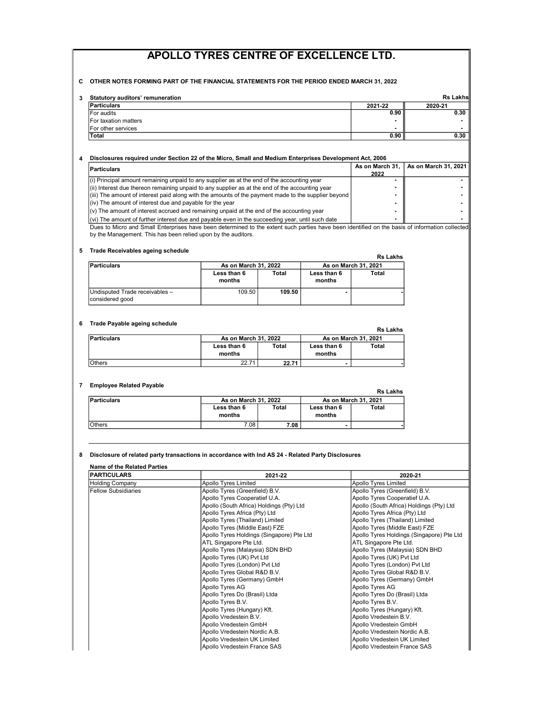### C OTHER NOTES FORMING PART OF THE FINANCIAL STATEMENTS FOR THE PERIOD ENDED MARCH 31, 2022

| <b>Statutory auditors' remuneration</b> |         | <b>Rs Lakhs</b> |
|-----------------------------------------|---------|-----------------|
| Particulars                             | 2021-22 | 2020-21         |
| <b>IFor audits</b>                      | 0.90    | 0.30            |
| For taxation matters                    |         |                 |
| <b>IFor other services</b>              |         |                 |
| Total                                   | 0.90    | 0.30            |

### 4 Disclosures required under Section 22 of the Micro, Small and Medium Enterprises Development Act, 2006

| <b>Particulars</b>                                                                                  | As on March 31,<br>2022 | As on March 31, 2021 |
|-----------------------------------------------------------------------------------------------------|-------------------------|----------------------|
| $(i)$ Principal amount remaining unpaid to any supplier as at the end of the accounting year        |                         |                      |
| (ii) Interest due thereon remaining unpaid to any supplier as at the end of the accounting year     |                         |                      |
| (iii) The amount of interest paid along with the amounts of the payment made to the supplier beyond |                         |                      |
| (iv) The amount of interest due and payable for the year                                            |                         |                      |
| $\vert$ (v) The amount of interest accrued and remaining unpaid at the end of the accounting year   |                         |                      |
| (vi) The amount of further interest due and payable even in the succeeding year, until such date    |                         |                      |

Dues to Micro and Small Enterprises have been determined to the extent such parties have been identified on the basis of information collected by the Management. This has been relied upon by the auditors.

### 5 Trade Receivables ageing schedule

| <b>Haue Receivables ageing scriedule</b>          |                       |                      |                       | <b>Rs Lakhs</b>      |
|---------------------------------------------------|-----------------------|----------------------|-----------------------|----------------------|
| <b>Particulars</b>                                |                       | As on March 31, 2022 |                       | As on March 31, 2021 |
|                                                   | Less than 6<br>months | Total                | Less than 6<br>months | Total                |
| Undisputed Trade receivables -<br>considered good | 109.50                | 109.50               |                       |                      |

### 6 Trade Payable ageing schedule

| Trade Payable agenty scriedule |                       |       |                       | <b>Rs Lakhs</b> |
|--------------------------------|-----------------------|-------|-----------------------|-----------------|
| <b>Particulars</b>             | As on March 31, 2022  |       | As on March 31, 2021  |                 |
|                                | Less than 6<br>months | Total | Less than 6<br>months | Total           |
| <b>Others</b>                  | 22.71                 | 22.71 |                       |                 |

### 7 Employee Related Payable

| Elliployee Related Fayable |                       |       |                       | <b>Rs Lakhs</b> |
|----------------------------|-----------------------|-------|-----------------------|-----------------|
| <b>Particulars</b>         | As on March 31, 2022  |       | As on March 31, 2021  |                 |
|                            | Less than 6<br>months | Total | Less than 6<br>months | Total           |
| <b>O</b> thers             | 7.08                  | 7.08  |                       |                 |

#### 8 Disclosure of related party transactions in accordance with Ind AS 24 - Related Party Disclosures

| <b>PARTICULARS</b>         | 2021-22                                   | 2020-21                                   |
|----------------------------|-------------------------------------------|-------------------------------------------|
| <b>Holding Company</b>     | Apollo Tyres Limited                      | <b>Apollo Tyres Limited</b>               |
| <b>Fellow Subsidiaries</b> | Apollo Tyres (Greenfield) B.V.            | Apollo Tyres (Greenfield) B.V.            |
|                            | Apollo Tyres Cooperatief U.A.             | Apollo Tyres Cooperatief U.A.             |
|                            | Apollo (South Africa) Holdings (Pty) Ltd  | Apollo (South Africa) Holdings (Pty) Ltd  |
|                            | Apollo Tyres Africa (Pty) Ltd             | Apollo Tyres Africa (Pty) Ltd             |
|                            | Apollo Tyres (Thailand) Limited           | Apollo Tyres (Thailand) Limited           |
|                            | Apollo Tyres (Middle East) FZE            | Apollo Tyres (Middle East) FZE            |
|                            | Apollo Tyres Holdings (Singapore) Pte Ltd | Apollo Tyres Holdings (Singapore) Pte Ltd |
|                            | ATL Singapore Pte Ltd.                    | ATL Singapore Pte Ltd.                    |
|                            | Apollo Tyres (Malaysia) SDN BHD           | Apollo Tyres (Malaysia) SDN BHD           |
|                            | Apollo Tyres (UK) Pvt Ltd                 | Apollo Tyres (UK) Pvt Ltd                 |
|                            | Apollo Tyres (London) Pvt Ltd             | Apollo Tyres (London) Pvt Ltd             |
|                            | Apollo Tyres Global R&D B.V.              | Apollo Tyres Global R&D B.V.              |
|                            | Apollo Tyres (Germany) GmbH               | Apollo Tyres (Germany) GmbH               |
|                            | Apollo Tyres AG                           | Apollo Tyres AG                           |
|                            | Apollo Tyres Do (Brasil) Ltda             | Apollo Tyres Do (Brasil) Ltda             |
|                            | Apollo Tyres B.V.                         | Apollo Tyres B.V.                         |
|                            | Apollo Tyres (Hungary) Kft.               | Apollo Tyres (Hungary) Kft.               |
|                            | Apollo Vredestein B.V.                    | Apollo Vredestein B.V.                    |
|                            | Apollo Vredestein GmbH                    | Apollo Vredestein GmbH                    |
|                            | Apollo Vredestein Nordic A.B.             | Apollo Vredestein Nordic A.B.             |
|                            | Apollo Vredestein UK Limited              | Apollo Vredestein UK Limited              |
|                            | Apollo Vredestein France SAS              | Apollo Vredestein France SAS              |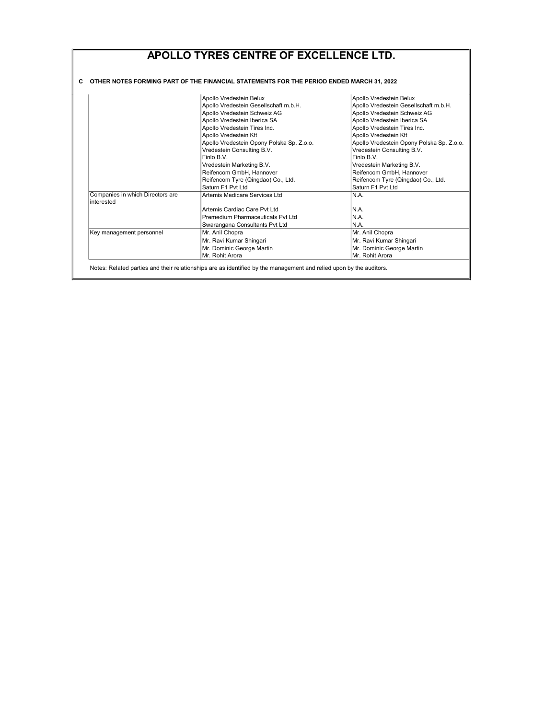| APOLLO TYRES CENTRE OF EXCELLENCE LTD.         |                                                                                          |                                           |  |  |  |
|------------------------------------------------|------------------------------------------------------------------------------------------|-------------------------------------------|--|--|--|
|                                                | OTHER NOTES FORMING PART OF THE FINANCIAL STATEMENTS FOR THE PERIOD ENDED MARCH 31, 2022 |                                           |  |  |  |
|                                                |                                                                                          |                                           |  |  |  |
|                                                | Apollo Vredestein Belux                                                                  | Apollo Vredestein Belux                   |  |  |  |
|                                                | Apollo Vredestein Gesellschaft m.b.H.                                                    | Apollo Vredestein Gesellschaft m.b.H.     |  |  |  |
|                                                | Apollo Vredestein Schweiz AG                                                             | Apollo Vredestein Schweiz AG              |  |  |  |
|                                                | Apollo Vredestein Iberica SA                                                             | Apollo Vredestein Iberica SA              |  |  |  |
|                                                | Apollo Vredestein Tires Inc.                                                             | Apollo Vredestein Tires Inc.              |  |  |  |
|                                                | Apollo Vredestein Kft                                                                    | Apollo Vredestein Kft                     |  |  |  |
|                                                | Apollo Vredestein Opony Polska Sp. Z.o.o.                                                | Apollo Vredestein Opony Polska Sp. Z.o.o. |  |  |  |
|                                                | Vredestein Consulting B.V.                                                               | Vredestein Consulting B.V.                |  |  |  |
|                                                | Finlo B.V.                                                                               | Finlo B.V.                                |  |  |  |
|                                                | Vredestein Marketing B.V.                                                                | Vredestein Marketing B.V.                 |  |  |  |
|                                                | Reifencom GmbH, Hannover                                                                 | Reifencom GmbH. Hannover                  |  |  |  |
|                                                | Reifencom Tyre (Qingdao) Co., Ltd.                                                       | Reifencom Tyre (Qingdao) Co., Ltd.        |  |  |  |
|                                                | Saturn F1 Pvt I td                                                                       | Saturn F1 Pvt Ltd                         |  |  |  |
| Companies in which Directors are<br>interested | Artemis Medicare Services Ltd                                                            | N.A.                                      |  |  |  |
|                                                | Artemis Cardiac Care Pyt I td                                                            | N.A.                                      |  |  |  |
|                                                | Premedium Pharmaceuticals Pvt Ltd                                                        | N.A.                                      |  |  |  |
|                                                | Swarangana Consultants Pvt Ltd                                                           | N.A.                                      |  |  |  |
| Key management personnel                       | Mr. Anil Chopra                                                                          | Mr. Anil Chopra                           |  |  |  |
|                                                | Mr. Ravi Kumar Shingari                                                                  | Mr. Ravi Kumar Shingari                   |  |  |  |
|                                                | Mr. Dominic George Martin                                                                | Mr. Dominic George Martin                 |  |  |  |
|                                                | Mr. Rohit Arora                                                                          | Mr. Rohit Arora                           |  |  |  |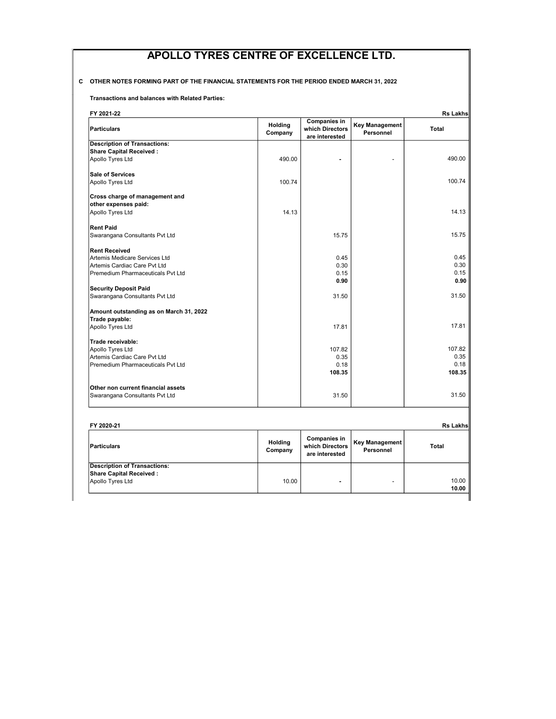### C OTHER NOTES FORMING PART OF THE FINANCIAL STATEMENTS FOR THE PERIOD ENDED MARCH 31, 2022

Transactions and balances with Related Parties:

| FY 2021-22                              |                    |                                                          |                                    | <b>Rs Lakhs</b> |
|-----------------------------------------|--------------------|----------------------------------------------------------|------------------------------------|-----------------|
| <b>Particulars</b>                      | Holding<br>Company | <b>Companies in</b><br>which Directors<br>are interested | <b>Key Management</b><br>Personnel | <b>Total</b>    |
| <b>Description of Transactions:</b>     |                    |                                                          |                                    |                 |
| <b>Share Capital Received:</b>          |                    |                                                          |                                    |                 |
| Apollo Tyres Ltd                        | 490.00             | ۰                                                        |                                    | 490.00          |
| <b>Sale of Services</b>                 |                    |                                                          |                                    |                 |
| Apollo Tyres Ltd                        | 100.74             |                                                          |                                    | 100.74          |
| Cross charge of management and          |                    |                                                          |                                    |                 |
| other expenses paid:                    |                    |                                                          |                                    |                 |
| Apollo Tyres Ltd                        | 14.13              |                                                          |                                    | 14.13           |
| <b>Rent Paid</b>                        |                    |                                                          |                                    |                 |
| Swarangana Consultants Pvt Ltd          |                    | 15.75                                                    |                                    | 15.75           |
| <b>Rent Received</b>                    |                    |                                                          |                                    |                 |
| Artemis Medicare Services Ltd           |                    | 0.45                                                     |                                    | 0.45            |
| Artemis Cardiac Care Pvt Ltd            |                    | 0.30                                                     |                                    | 0.30            |
| Premedium Pharmaceuticals Pvt Ltd       |                    | 0.15                                                     |                                    | 0.15            |
|                                         |                    | 0.90                                                     |                                    | 0.90            |
| <b>Security Deposit Paid</b>            |                    |                                                          |                                    |                 |
| Swarangana Consultants Pvt Ltd          |                    | 31.50                                                    |                                    | 31.50           |
| Amount outstanding as on March 31, 2022 |                    |                                                          |                                    |                 |
| Trade payable:                          |                    |                                                          |                                    |                 |
| Apollo Tyres Ltd                        |                    | 17.81                                                    |                                    | 17.81           |
| Trade receivable:                       |                    |                                                          |                                    |                 |
| Apollo Tyres Ltd                        |                    | 107.82                                                   |                                    | 107.82          |
| Artemis Cardiac Care Pvt Ltd            |                    | 0.35                                                     |                                    | 0.35            |
| Premedium Pharmaceuticals Pvt Ltd       |                    | 0.18                                                     |                                    | 0.18            |
|                                         |                    | 108.35                                                   |                                    | 108.35          |
| Other non current financial assets      |                    |                                                          |                                    |                 |
| Swarangana Consultants Pvt Ltd          |                    | 31.50                                                    |                                    | 31.50           |

| FY 2020-21                                                                         |                    |                                                          |                             | Rs Lakhs       |
|------------------------------------------------------------------------------------|--------------------|----------------------------------------------------------|-----------------------------|----------------|
| <b>Particulars</b>                                                                 | Holding<br>Company | <b>Companies in</b><br>which Directors<br>are interested | Key Management<br>Personnel | <b>Total</b>   |
| <b>Description of Transactions:</b><br>Share Capital Received:<br>Apollo Tyres Ltd | 10.00              |                                                          |                             | 10.00<br>10.00 |